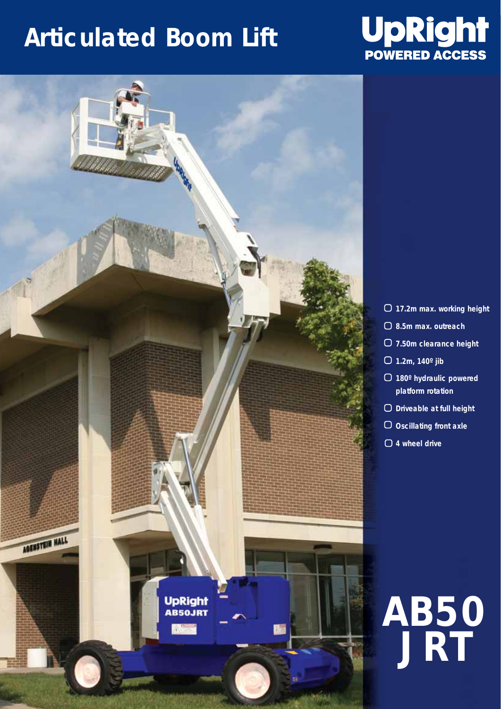## **Articulated Boom Lift**





- **17.2m max. working height**
- **8.5m max. outreach**
- **7.50m clearance height**
- **1.2m, 140º jib**
- **180º hydraulic powered platform rotation**
- **Driveable at full height**
- **Oscillating front axle**
- **4 wheel drive**

## **AB50 JRT**